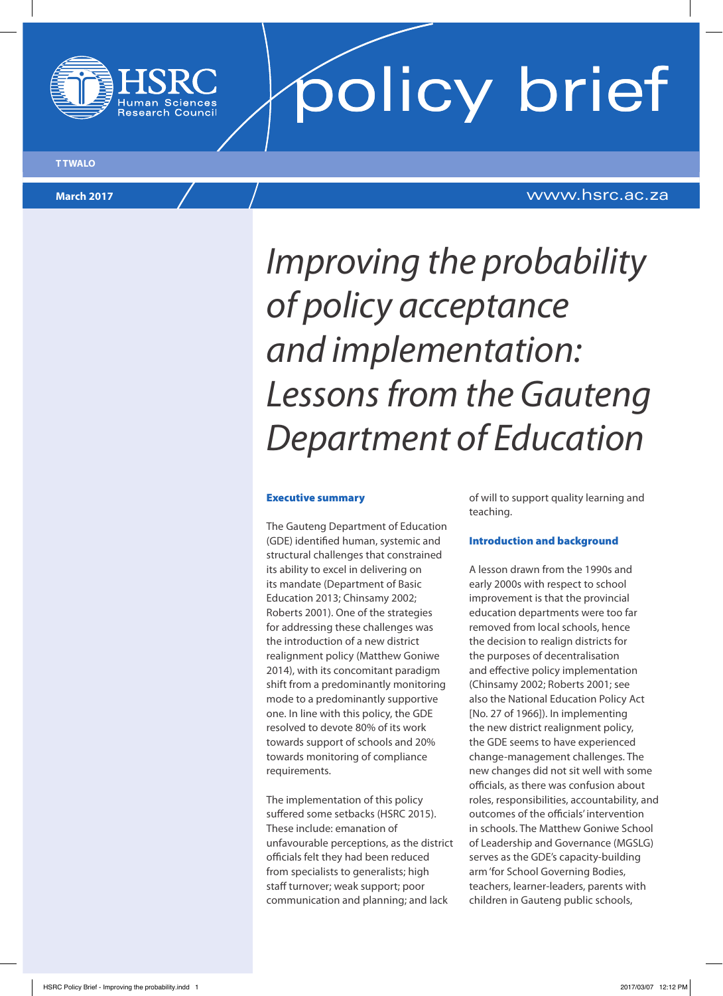



## **March 2017** www.hsrc.ac.za

# *Improving the probability of policy acceptance and implementation: Lessons from the Gauteng Department of Education*

#### Executive summary

The Gauteng Department of Education (GDE) identified human, systemic and structural challenges that constrained its ability to excel in delivering on its mandate (Department of Basic Education 2013; Chinsamy 2002; Roberts 2001). One of the strategies for addressing these challenges was the introduction of a new district realignment policy (Matthew Goniwe 2014), with its concomitant paradigm shift from a predominantly monitoring mode to a predominantly supportive one. In line with this policy, the GDE resolved to devote 80% of its work towards support of schools and 20% towards monitoring of compliance requirements.

The implementation of this policy suffered some setbacks (HSRC 2015). These include: emanation of unfavourable perceptions, as the district officials felt they had been reduced from specialists to generalists; high staff turnover; weak support; poor communication and planning; and lack

of will to support quality learning and teaching.

### Introduction and background

A lesson drawn from the 1990s and early 2000s with respect to school improvement is that the provincial education departments were too far removed from local schools, hence the decision to realign districts for the purposes of decentralisation and effective policy implementation (Chinsamy 2002; Roberts 2001; see also the National Education Policy Act [No. 27 of 1966]). In implementing the new district realignment policy, the GDE seems to have experienced change-management challenges. The new changes did not sit well with some officials, as there was confusion about roles, responsibilities, accountability, and outcomes of the officials' intervention in schools. The Matthew Goniwe School of Leadership and Governance (MGSLG) serves as the GDE's capacity-building arm 'for School Governing Bodies, teachers, learner-leaders, parents with children in Gauteng public schools,

**T TWALO**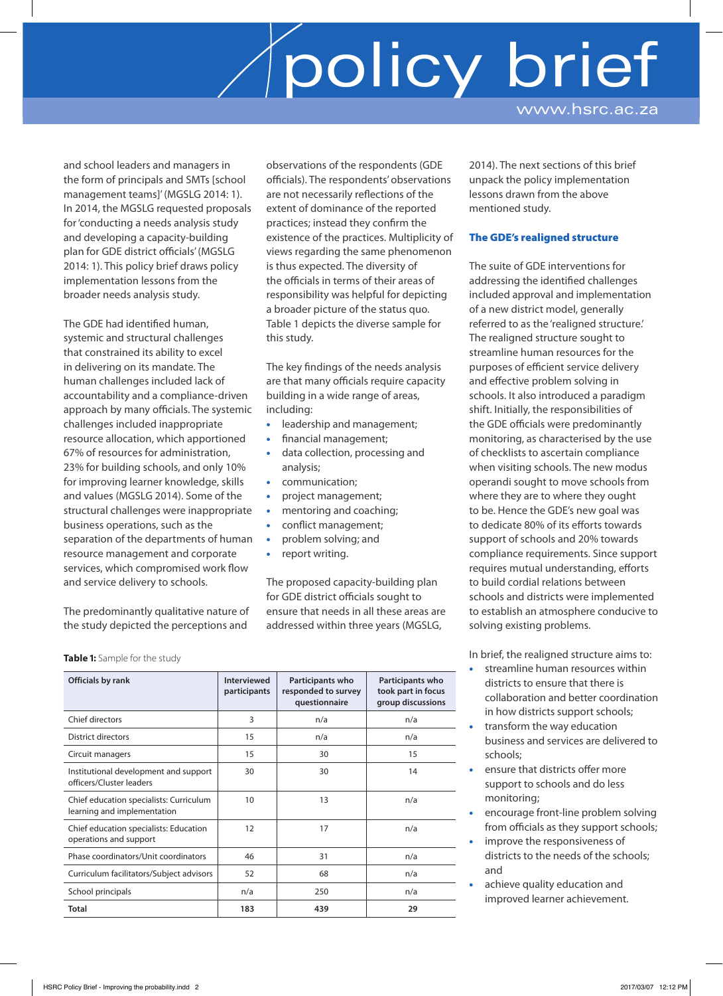and school leaders and managers in the form of principals and SMTs [school management teams]' (MGSLG 2014: 1). In 2014, the MGSLG requested proposals for 'conducting a needs analysis study and developing a capacity-building plan for GDE district officials' (MGSLG 2014: 1). This policy brief draws policy implementation lessons from the broader needs analysis study.

The GDE had identified human, systemic and structural challenges that constrained its ability to excel in delivering on its mandate. The human challenges included lack of accountability and a compliance-driven approach by many officials. The systemic challenges included inappropriate resource allocation, which apportioned 67% of resources for administration, 23% for building schools, and only 10% for improving learner knowledge, skills and values (MGSLG 2014). Some of the structural challenges were inappropriate business operations, such as the separation of the departments of human resource management and corporate services, which compromised work flow and service delivery to schools.

The predominantly qualitative nature of the study depicted the perceptions and

observations of the respondents (GDE officials). The respondents' observations are not necessarily reflections of the extent of dominance of the reported practices; instead they confirm the existence of the practices. Multiplicity of views regarding the same phenomenon is thus expected. The diversity of the officials in terms of their areas of responsibility was helpful for depicting a broader picture of the status quo. Table 1 depicts the diverse sample for this study.

The key findings of the needs analysis are that many officials require capacity building in a wide range of areas, including:

- leadership and management; • financial management;
- data collection, processing and analysis;
- communication;
- project management;
- mentoring and coaching;
- conflict management;
- problem solving; and
- report writing.

The proposed capacity-building plan for GDE district officials sought to ensure that needs in all these areas are addressed within three years (MGSLG,

**Table 1:** Sample for the study

| Officials by rank                                                      | <b>Interviewed</b><br>participants | Participants who<br>responded to survey<br>questionnaire | Participants who<br>took part in focus<br>group discussions |
|------------------------------------------------------------------------|------------------------------------|----------------------------------------------------------|-------------------------------------------------------------|
| Chief directors                                                        | 3                                  | n/a                                                      | n/a                                                         |
| District directors                                                     | 15                                 | n/a                                                      | n/a                                                         |
| Circuit managers                                                       | 15                                 | 30                                                       | 15                                                          |
| Institutional development and support<br>officers/Cluster leaders      | 30                                 | 30                                                       | 14                                                          |
| Chief education specialists: Curriculum<br>learning and implementation | 10                                 | 13                                                       | n/a                                                         |
| Chief education specialists: Education<br>operations and support       | 12                                 | 17                                                       | n/a                                                         |
| Phase coordinators/Unit coordinators                                   | 46                                 | 31                                                       | n/a                                                         |
| Curriculum facilitators/Subject advisors                               | 52                                 | 68                                                       | n/a                                                         |
| School principals                                                      | n/a                                | 250                                                      | n/a                                                         |
| Total                                                                  | 183                                | 439                                                      | 29                                                          |

2014). The next sections of this brief unpack the policy implementation lessons drawn from the above mentioned study.

## The GDE's realigned structure

The suite of GDE interventions for addressing the identified challenges included approval and implementation of a new district model, generally referred to as the 'realigned structure.' The realigned structure sought to streamline human resources for the purposes of efficient service delivery and effective problem solving in schools. It also introduced a paradigm shift. Initially, the responsibilities of the GDE officials were predominantly monitoring, as characterised by the use of checklists to ascertain compliance when visiting schools. The new modus operandi sought to move schools from where they are to where they ought to be. Hence the GDE's new goal was to dedicate 80% of its efforts towards support of schools and 20% towards compliance requirements. Since support requires mutual understanding, efforts to build cordial relations between schools and districts were implemented to establish an atmosphere conducive to solving existing problems.

In brief, the realigned structure aims to:

- streamline human resources within districts to ensure that there is collaboration and better coordination in how districts support schools;
- transform the way education business and services are delivered to schools;
- ensure that districts offer more support to schools and do less monitoring;
- encourage front-line problem solving from officials as they support schools;
- improve the responsiveness of districts to the needs of the schools; and
- achieve quality education and improved learner achievement.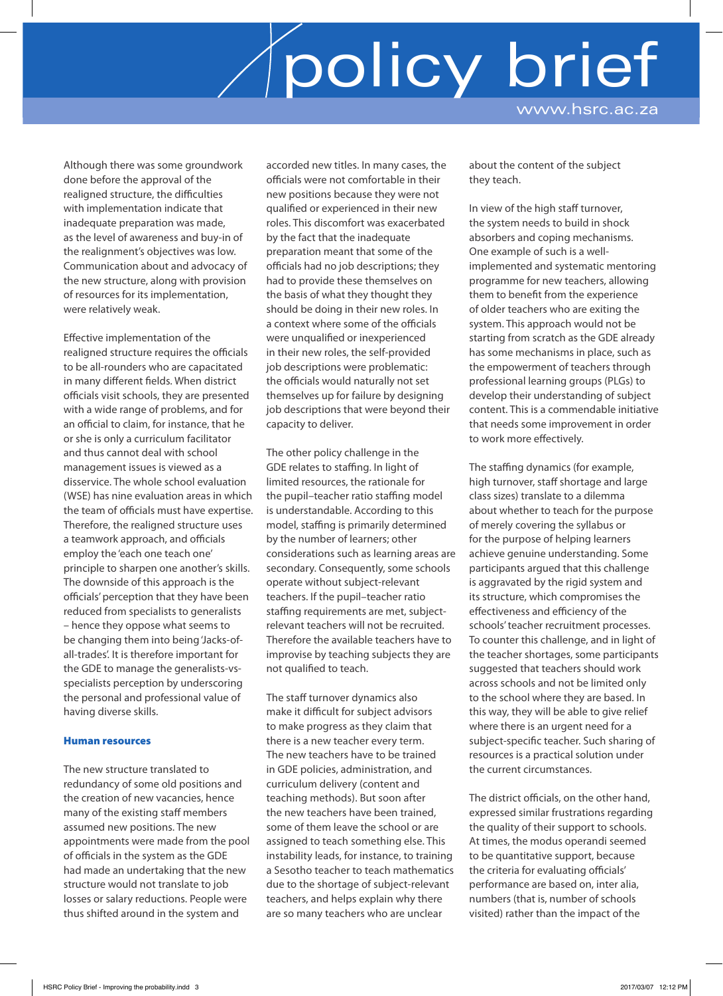Although there was some groundwork done before the approval of the realigned structure, the difficulties with implementation indicate that inadequate preparation was made, as the level of awareness and buy-in of the realignment's objectives was low. Communication about and advocacy of the new structure, along with provision of resources for its implementation, were relatively weak.

Effective implementation of the realigned structure requires the officials to be all-rounders who are capacitated in many different fields. When district officials visit schools, they are presented with a wide range of problems, and for an official to claim, for instance, that he or she is only a curriculum facilitator and thus cannot deal with school management issues is viewed as a disservice. The whole school evaluation (WSE) has nine evaluation areas in which the team of officials must have expertise. Therefore, the realigned structure uses a teamwork approach, and officials employ the 'each one teach one' principle to sharpen one another's skills. The downside of this approach is the officials' perception that they have been reduced from specialists to generalists – hence they oppose what seems to be changing them into being 'Jacks-ofall-trades'. It is therefore important for the GDE to manage the generalists-vsspecialists perception by underscoring the personal and professional value of having diverse skills.

### Human resources

The new structure translated to redundancy of some old positions and the creation of new vacancies, hence many of the existing staff members assumed new positions. The new appointments were made from the pool of officials in the system as the GDE had made an undertaking that the new structure would not translate to job losses or salary reductions. People were thus shifted around in the system and

accorded new titles. In many cases, the officials were not comfortable in their new positions because they were not qualified or experienced in their new roles. This discomfort was exacerbated by the fact that the inadequate preparation meant that some of the officials had no job descriptions; they had to provide these themselves on the basis of what they thought they should be doing in their new roles. In a context where some of the officials were unqualified or inexperienced in their new roles, the self-provided job descriptions were problematic: the officials would naturally not set themselves up for failure by designing job descriptions that were beyond their capacity to deliver.

The other policy challenge in the GDE relates to staffing. In light of limited resources, the rationale for the pupil–teacher ratio staffing model is understandable. According to this model, staffing is primarily determined by the number of learners; other considerations such as learning areas are secondary. Consequently, some schools operate without subject-relevant teachers. If the pupil–teacher ratio staffing requirements are met, subjectrelevant teachers will not be recruited. Therefore the available teachers have to improvise by teaching subjects they are not qualified to teach.

The staff turnover dynamics also make it difficult for subject advisors to make progress as they claim that there is a new teacher every term. The new teachers have to be trained in GDE policies, administration, and curriculum delivery (content and teaching methods). But soon after the new teachers have been trained, some of them leave the school or are assigned to teach something else. This instability leads, for instance, to training a Sesotho teacher to teach mathematics due to the shortage of subject-relevant teachers, and helps explain why there are so many teachers who are unclear

about the content of the subject they teach.

In view of the high staff turnover, the system needs to build in shock absorbers and coping mechanisms. One example of such is a wellimplemented and systematic mentoring programme for new teachers, allowing them to benefit from the experience of older teachers who are exiting the system. This approach would not be starting from scratch as the GDE already has some mechanisms in place, such as the empowerment of teachers through professional learning groups (PLGs) to develop their understanding of subject content. This is a commendable initiative that needs some improvement in order to work more effectively.

The staffing dynamics (for example, high turnover, staff shortage and large class sizes) translate to a dilemma about whether to teach for the purpose of merely covering the syllabus or for the purpose of helping learners achieve genuine understanding. Some participants argued that this challenge is aggravated by the rigid system and its structure, which compromises the effectiveness and efficiency of the schools' teacher recruitment processes. To counter this challenge, and in light of the teacher shortages, some participants suggested that teachers should work across schools and not be limited only to the school where they are based. In this way, they will be able to give relief where there is an urgent need for a subject-specific teacher. Such sharing of resources is a practical solution under the current circumstances.

The district officials, on the other hand, expressed similar frustrations regarding the quality of their support to schools. At times, the modus operandi seemed to be quantitative support, because the criteria for evaluating officials' performance are based on, inter alia, numbers (that is, number of schools visited) rather than the impact of the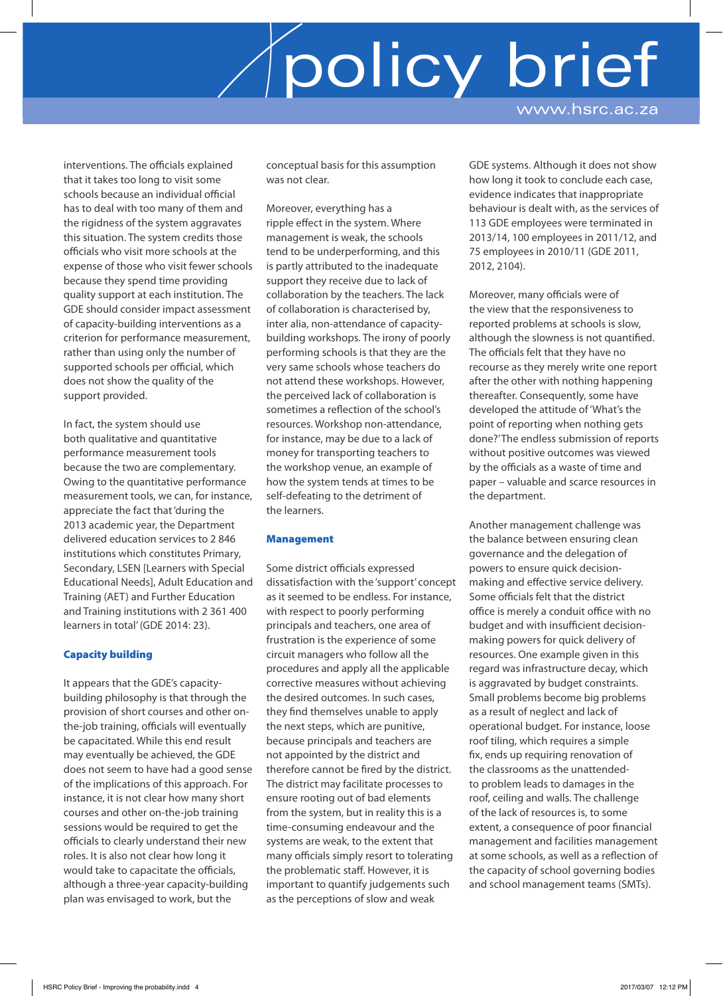interventions. The officials explained that it takes too long to visit some schools because an individual official has to deal with too many of them and the rigidness of the system aggravates this situation. The system credits those officials who visit more schools at the expense of those who visit fewer schools because they spend time providing quality support at each institution. The GDE should consider impact assessment of capacity-building interventions as a criterion for performance measurement, rather than using only the number of supported schools per official, which does not show the quality of the support provided.

In fact, the system should use both qualitative and quantitative performance measurement tools because the two are complementary. Owing to the quantitative performance measurement tools, we can, for instance, appreciate the fact that 'during the 2013 academic year, the Department delivered education services to 2 846 institutions which constitutes Primary, Secondary, LSEN [Learners with Special Educational Needs], Adult Education and Training (AET) and Further Education and Training institutions with 2 361 400 learners in total' (GDE 2014: 23).

## Capacity building

It appears that the GDE's capacitybuilding philosophy is that through the provision of short courses and other onthe-job training, officials will eventually be capacitated. While this end result may eventually be achieved, the GDE does not seem to have had a good sense of the implications of this approach. For instance, it is not clear how many short courses and other on-the-job training sessions would be required to get the officials to clearly understand their new roles. It is also not clear how long it would take to capacitate the officials, although a three-year capacity-building plan was envisaged to work, but the

conceptual basis for this assumption was not clear.

Moreover, everything has a ripple effect in the system. Where management is weak, the schools tend to be underperforming, and this is partly attributed to the inadequate support they receive due to lack of collaboration by the teachers. The lack of collaboration is characterised by, inter alia, non-attendance of capacitybuilding workshops. The irony of poorly performing schools is that they are the very same schools whose teachers do not attend these workshops. However, the perceived lack of collaboration is sometimes a reflection of the school's resources. Workshop non-attendance, for instance, may be due to a lack of money for transporting teachers to the workshop venue, an example of how the system tends at times to be self-defeating to the detriment of the learners.

### Management

Some district officials expressed dissatisfaction with the 'support' concept as it seemed to be endless. For instance, with respect to poorly performing principals and teachers, one area of frustration is the experience of some circuit managers who follow all the procedures and apply all the applicable corrective measures without achieving the desired outcomes. In such cases, they find themselves unable to apply the next steps, which are punitive, because principals and teachers are not appointed by the district and therefore cannot be fired by the district. The district may facilitate processes to ensure rooting out of bad elements from the system, but in reality this is a time-consuming endeavour and the systems are weak, to the extent that many officials simply resort to tolerating the problematic staff. However, it is important to quantify judgements such as the perceptions of slow and weak

GDE systems. Although it does not show how long it took to conclude each case, evidence indicates that inappropriate behaviour is dealt with, as the services of 113 GDE employees were terminated in 2013/14, 100 employees in 2011/12, and 75 employees in 2010/11 (GDE 2011, 2012, 2104).

Moreover, many officials were of the view that the responsiveness to reported problems at schools is slow, although the slowness is not quantified. The officials felt that they have no recourse as they merely write one report after the other with nothing happening thereafter. Consequently, some have developed the attitude of 'What's the point of reporting when nothing gets done?' The endless submission of reports without positive outcomes was viewed by the officials as a waste of time and paper – valuable and scarce resources in the department.

Another management challenge was the balance between ensuring clean governance and the delegation of powers to ensure quick decisionmaking and effective service delivery. Some officials felt that the district office is merely a conduit office with no budget and with insufficient decisionmaking powers for quick delivery of resources. One example given in this regard was infrastructure decay, which is aggravated by budget constraints. Small problems become big problems as a result of neglect and lack of operational budget. For instance, loose roof tiling, which requires a simple fix, ends up requiring renovation of the classrooms as the unattendedto problem leads to damages in the roof, ceiling and walls. The challenge of the lack of resources is, to some extent, a consequence of poor financial management and facilities management at some schools, as well as a reflection of the capacity of school governing bodies and school management teams (SMTs).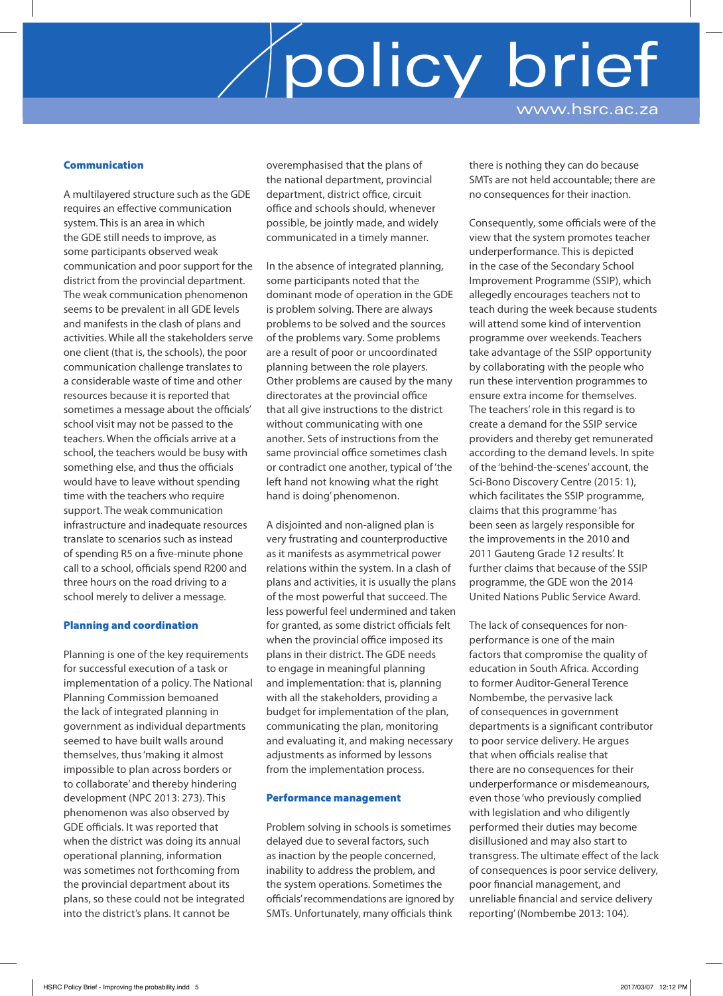### Communication

A multilayered structure such as the GDE requires an effective communication system. This is an area in which the GDE still needs to improve, as some participants observed weak communication and poor support for the district from the provincial department. The weak communication phenomenon seems to be prevalent in all GDE levels and manifests in the clash of plans and activities. While all the stakeholders serve one client (that is, the schools), the poor communication challenge translates to a considerable waste of time and other resources because it is reported that sometimes a message about the officials' school visit may not be passed to the teachers. When the officials arrive at a school, the teachers would be busy with something else, and thus the officials would have to leave without spending time with the teachers who require support. The weak communication infrastructure and inadequate resources translate to scenarios such as instead of spending R5 on a five-minute phone call to a school, officials spend R200 and three hours on the road driving to a school merely to deliver a message.

#### Planning and coordination

Planning is one of the key requirements for successful execution of a task or implementation of a policy. The National Planning Commission bemoaned the lack of integrated planning in government as individual departments seemed to have built walls around themselves, thus 'making it almost impossible to plan across borders or to collaborate' and thereby hindering development (NPC 2013: 273). This phenomenon was also observed by GDE officials. It was reported that when the district was doing its annual operational planning, information was sometimes not forthcoming from the provincial department about its plans, so these could not be integrated into the district's plans. It cannot be

overemphasised that the plans of the national department, provincial department, district office, circuit office and schools should, whenever possible, be jointly made, and widely communicated in a timely manner.

In the absence of integrated planning, some participants noted that the dominant mode of operation in the GDE is problem solving. There are always problems to be solved and the sources of the problems vary. Some problems are a result of poor or uncoordinated planning between the role players. Other problems are caused by the many directorates at the provincial office that all give instructions to the district without communicating with one another. Sets of instructions from the same provincial office sometimes clash or contradict one another, typical of 'the left hand not knowing what the right hand is doing' phenomenon.

A disjointed and non-aligned plan is very frustrating and counterproductive as it manifests as asymmetrical power relations within the system. In a clash of plans and activities, it is usually the plans of the most powerful that succeed. The less powerful feel undermined and taken for granted, as some district officials felt when the provincial office imposed its plans in their district. The GDE needs to engage in meaningful planning and implementation: that is, planning with all the stakeholders, providing a budget for implementation of the plan, communicating the plan, monitoring and evaluating it, and making necessary adjustments as informed by lessons from the implementation process.

#### Performance management

Problem solving in schools is sometimes delayed due to several factors, such as inaction by the people concerned, inability to address the problem, and the system operations. Sometimes the officials' recommendations are ignored by SMTs. Unfortunately, many officials think

there is nothing they can do because SMTs are not held accountable; there are no consequences for their inaction.

Consequently, some officials were of the view that the system promotes teacher underperformance. This is depicted in the case of the Secondary School Improvement Programme (SSIP), which allegedly encourages teachers not to teach during the week because students will attend some kind of intervention programme over weekends. Teachers take advantage of the SSIP opportunity by collaborating with the people who run these intervention programmes to ensure extra income for themselves. The teachers' role in this regard is to create a demand for the SSIP service providers and thereby get remunerated according to the demand levels. In spite of the 'behind-the-scenes' account, the Sci-Bono Discovery Centre (2015: 1), which facilitates the SSIP programme, claims that this programme 'has been seen as largely responsible for the improvements in the 2010 and 2011 Gauteng Grade 12 results'. It further claims that because of the SSIP programme, the GDE won the 2014 United Nations Public Service Award.

The lack of consequences for nonperformance is one of the main factors that compromise the quality of education in South Africa. According to former Auditor-General Terence Nombembe, the pervasive lack of consequences in government departments is a significant contributor to poor service delivery. He argues that when officials realise that there are no consequences for their underperformance or misdemeanours, even those 'who previously complied with legislation and who diligently performed their duties may become disillusioned and may also start to transgress. The ultimate effect of the lack of consequences is poor service delivery, poor financial management, and unreliable financial and service delivery reporting' (Nombembe 2013: 104).